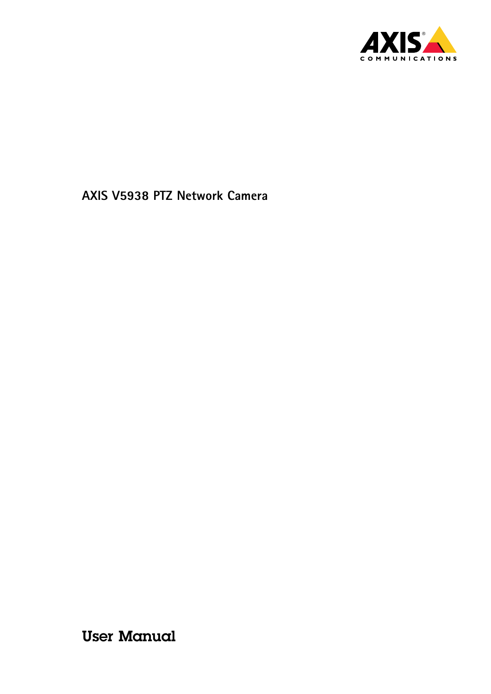

User Manual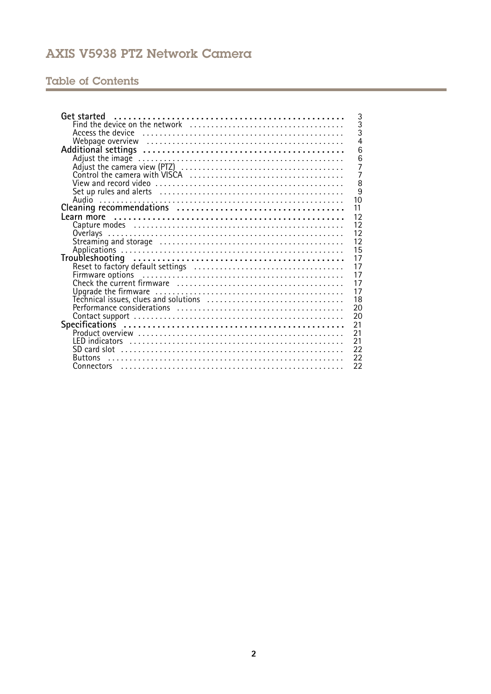# Table of Contents

| Get started<br>3                                                   |
|--------------------------------------------------------------------|
| $\overline{3}$                                                     |
| 3                                                                  |
|                                                                    |
| 6                                                                  |
| 6                                                                  |
| Adjust the camera view (PTZ)<br>Control the camera with VISCA<br>7 |
| 7                                                                  |
| 8                                                                  |
| 9                                                                  |
| 10                                                                 |
| 11                                                                 |
| 12                                                                 |
| 12                                                                 |
| 12                                                                 |
| 12                                                                 |
| 15                                                                 |
| 17                                                                 |
| 17                                                                 |
| 17                                                                 |
| 17                                                                 |
| 17                                                                 |
| 18                                                                 |
| 20                                                                 |
| 20                                                                 |
| 21                                                                 |
| 21                                                                 |
| 21                                                                 |
| 22                                                                 |
| 22<br><b>Buttons</b>                                               |
|                                                                    |
| 22                                                                 |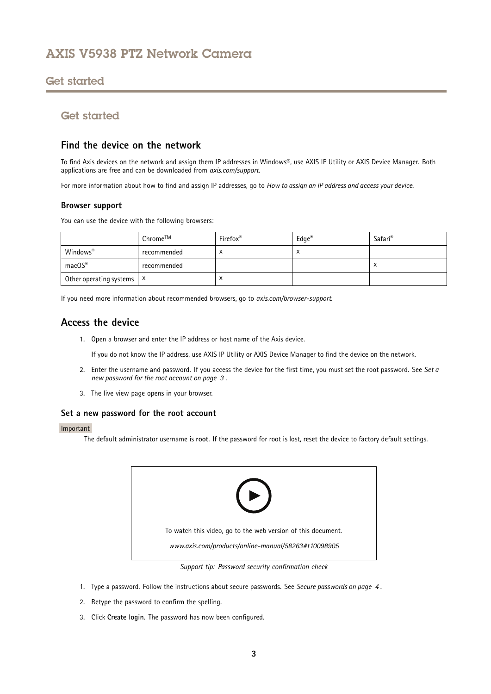## <span id="page-2-0"></span>Get started

# Get started

## **Find the device on the network**

To find Axis devices on the network and assign them IP addresses in Windows®, use AXIS IP Utility or AXIS Device Manager. Both applications are free and can be downloaded from *[axis.com/support](https://www.axis.com/support)*.

For more information about how to find and assign IP addresses, go to *How to [assign](https://www.axis.com/products/online-manual/i90000) an IP address and access your device*.

### **Browser support**

You can use the device with the following browsers:

|                                      | Chrome™ | Firefox <sup>®</sup> | $Edge^{\circledR}$ | Safari <sup>®</sup> |
|--------------------------------------|---------|----------------------|--------------------|---------------------|
| Windows®<br>recommended              |         |                      | x                  |                     |
| macOS®<br>recommended                |         |                      |                    |                     |
| Other operating systems $\mathsf{X}$ |         | $\lambda$            |                    |                     |

If you need more information about recommended browsers, go to *[axis.com/browser-support](https://www.axis.com/browser-support)*.

## **Access the device**

1. Open <sup>a</sup> browser and enter the IP address or host name of the Axis device.

If you do not know the IP address, use AXIS IP Utility or AXIS Device Manager to find the device on the network.

- 2. Enter the username and password. If you access the device for the first time, you must set the root password. See *Set <sup>a</sup> new password for the root account on page 3* .
- 3. The live view page opens in your browser.

## **Set <sup>a</sup> new password for the root account**

### Important

The default administrator username is **root**. If the password for root is lost, reset the device to factory default settings.



*Support tip: Password security confirmation check*

- 1. Type <sup>a</sup> password. Follow the instructions about secure passwords. See *Secure [passwords](#page-3-0) on page [4](#page-3-0)* .
- 2. Retype the password to confirm the spelling.
- 3. Click **Create login**. The password has now been configured.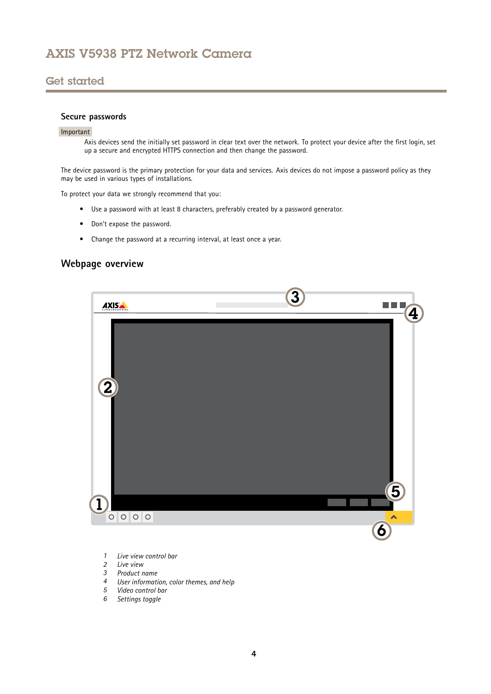## <span id="page-3-0"></span>Get started

## **Secure passwords**

#### Important

Axis devices send the initially set password in clear text over the network. To protect your device after the first login, set up <sup>a</sup> secure and encrypted HTTPS connection and then change the password.

The device password is the primary protection for your data and services. Axis devices do not impose <sup>a</sup> password policy as they may be used in various types of installations.

To protect your data we strongly recommend that you:

- Use <sup>a</sup> password with at least 8 characters, preferably created by <sup>a</sup> password generator.
- Don't expose the password.
- Change the password at <sup>a</sup> recurring interval, at least once <sup>a</sup> year.

## **Webpage overview**



- *1 Live view control bar*
- *2 Live view*
- *3 Product name*
- *<sup>4</sup> User information, color themes, and help*
- *5 Video control bar*
- *6 Settings toggle*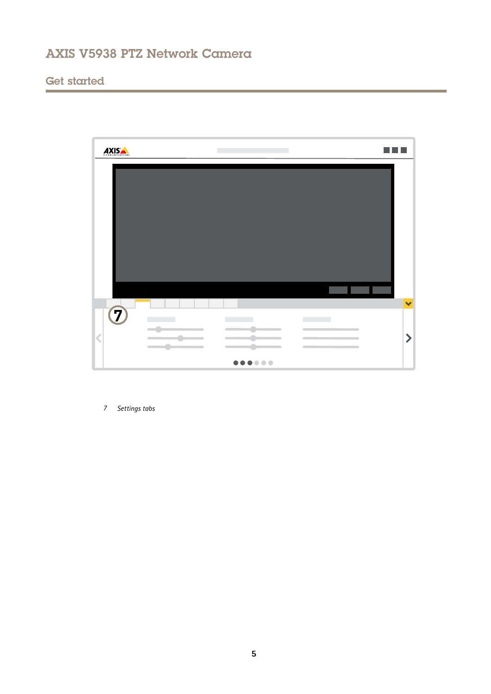# Get started



*7 Settings tabs*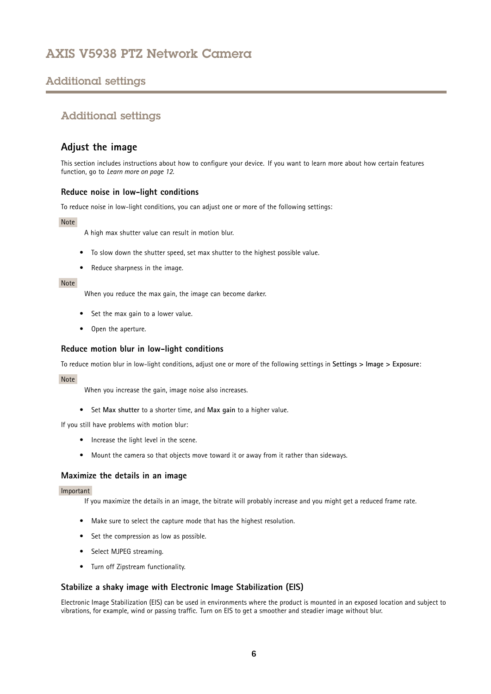# <span id="page-5-0"></span>Additional settings

# Additional settings

## **Adjust the image**

This section includes instructions about how to configure your device. If you want to learn more about how certain features function, go to *[Learn](#page-11-0) more on page [12](#page-11-0)*.

## **Reduce noise in low-light conditions**

To reduce noise in low-light conditions, you can adjust one or more of the following settings:

### Note

A high max shutter value can result in motion blur.

- To slow down the shutter speed, set max shutter to the highest possible value.
- Reduce sharpness in the image.

### Note

When you reduce the max gain, the image can become darker.

- Set the max gain to <sup>a</sup> lower value.
- Open the aperture.

### **Reduce motion blur in low-light conditions**

To reduce motion blur in low-light conditions, adjust one or more of the following settings in **Settings <sup>&</sup>gt; Image <sup>&</sup>gt; Exposure**:

### Note

When you increase the gain, image noise also increases.

• Set **Max shutter** to <sup>a</sup> shorter time, and **Max gain** to <sup>a</sup> higher value.

If you still have problems with motion blur:

- Increase the light level in the scene.
- Mount the camera so that objects move toward it or away from it rather than sideways.

## **Maximize the details in an image**

### Important

If you maximize the details in an image, the bitrate will probably increase and you might get <sup>a</sup> reduced frame rate.

- Make sure to select the capture mode that has the highest resolution.
- Set the compression as low as possible.
- Select MJPEG streaming.
- Turn off Zipstream functionality.

## **Stabilize <sup>a</sup> shaky image with Electronic Image Stabilization (EIS)**

Electronic Image Stabilization (EIS) can be used in environments where the product is mounted in an exposed location and subject to vibrations, for example, wind or passing traffic. Turn on EIS to get <sup>a</sup> smoother and steadier image without blur.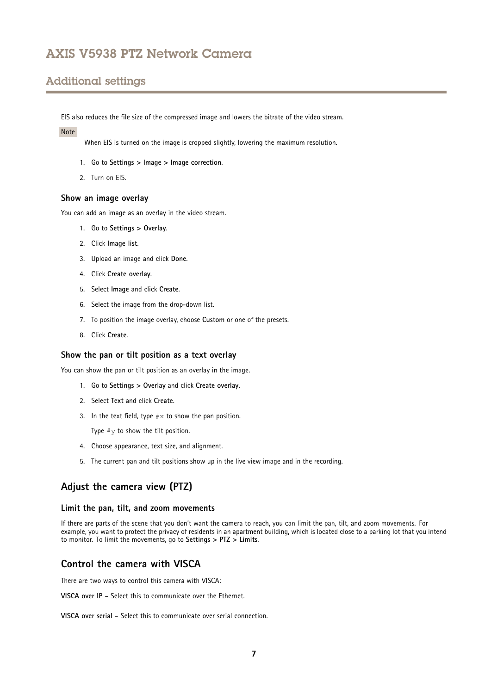# <span id="page-6-0"></span>Additional settings

EIS also reduces the file size of the compressed image and lowers the bitrate of the video stream.

### Note

When EIS is turned on the image is cropped slightly, lowering the maximum resolution.

- 1. Go to **Settings <sup>&</sup>gt; Image <sup>&</sup>gt; Image correction**.
- 2. Turn on EIS.

### **Show an image overlay**

You can add an image as an overlay in the video stream.

- 1. Go to **Settings <sup>&</sup>gt; Overlay**.
- 2. Click **Image list**.
- 3. Upload an image and click **Done**.
- 4. Click **Create overlay**.
- 5. Select **Image** and click **Create**.
- 6. Select the image from the drop-down list.
- 7. To position the image overlay, choose **Custom** or one of the presets.
- 8. Click **Create**.

### **Show the pan or tilt position as <sup>a</sup> text overlay**

You can show the pan or tilt position as an overlay in the image.

- 1. Go to **Settings <sup>&</sup>gt; Overlay** and click **Create overlay**.
- 2. Select **Text** and click **Create**.
- 3. In the text field, type  $\#x$  to show the pan position.

Type  $\#v$  to show the tilt position.

- 4. Choose appearance, text size, and alignment.
- 5. The current pan and tilt positions show up in the live view image and in the recording.

## **Adjust the camera view (PTZ)**

#### **Limit the pan, tilt, and zoom movements**

If there are parts of the scene that you don't want the camera to reach, you can limit the pan, tilt, and zoom movements. For example, you want to protect the privacy of residents in an apartment building, which is located close to <sup>a</sup> parking lot that you intend to monitor. To limit the movements, go to **Settings <sup>&</sup>gt; PTZ <sup>&</sup>gt; Limits**.

## **Control the camera with VISCA**

There are two ways to control this camera with VISCA:

**VISCA over IP -** Select this to communicate over the Ethernet.

**VISCA over serial -** Select this to communicate over serial connection.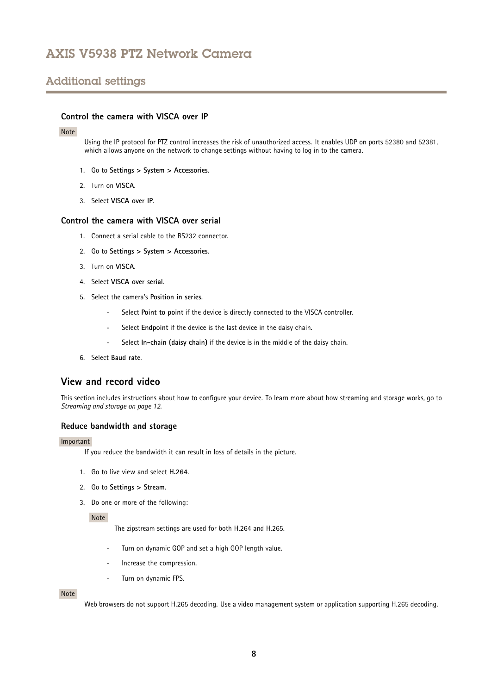# <span id="page-7-0"></span>Additional settings

## **Control the camera with VISCA over IP**

#### Note

Using the IP protocol for PTZ control increases the risk of unauthorized access. It enables UDP on ports 52380 and 52381, which allows anyone on the network to change settings without having to log in to the camera.

- 1. Go to **Settings <sup>&</sup>gt; System <sup>&</sup>gt; Accessories**.
- 2. Turn on **VISCA**.
- 3. Select **VISCA over IP**.

### **Control the camera with VISCA over serial**

- 1. Connect <sup>a</sup> serial cable to the RS232 connector.
- 2. Go to **Settings <sup>&</sup>gt; System <sup>&</sup>gt; Accessories**.
- 3. Turn on **VISCA**.
- 4. Select **VISCA over serial**.
- 5. Select the camera's **Position in series**.
	- Select **Point to point** if the device is directly connected to the VISCA controller.
	- -Select **Endpoint** if the device is the last device in the daisy chain.
	- Select **In-chain (daisy chain)** if the device is in the middle of the daisy chain.
- 6. Select **Baud rate**.

## **View and record video**

This section includes instructions about how to configure your device. To learn more about how streaming and storage works, go to *[Streaming](#page-11-0) and storage on page [12](#page-11-0)*.

### **Reduce bandwidth and storage**

#### Important

If you reduce the bandwidth it can result in loss of details in the picture.

- 1. Go to live view and select **H.264**.
- 2. Go to **Settings <sup>&</sup>gt; Stream**.
- 3. Do one or more of the following:

#### Note

The zipstream settings are used for both H.264 and H.265.

- Turn on dynamic GOP and set <sup>a</sup> high GOP length value.
- Increase the compression.
- Turn on dynamic FPS.

#### Note

Web browsers do not support H.265 decoding. Use <sup>a</sup> video management system or application supporting H.265 decoding.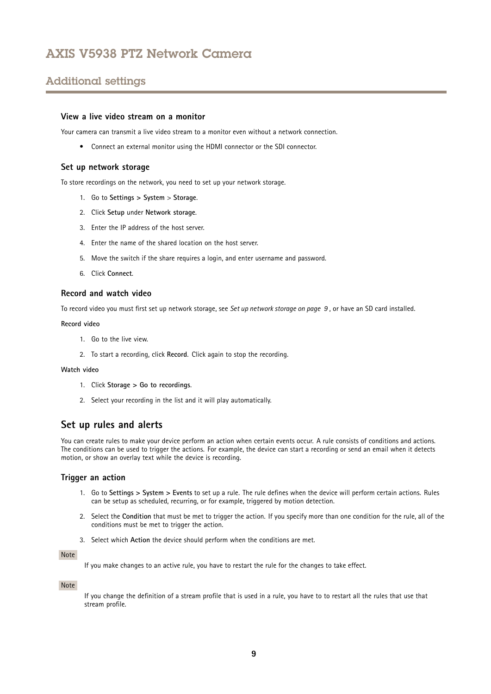# <span id="page-8-0"></span>Additional settings

### **View a live video stream on a monitor**

Your camera can transmit a live video stream to a monitor even without a network connection.

• Connect an external monitor using the HDMI connector or the SDI connector.

### **Set up network storage**

To store recordings on the network, you need to set up your network storage.

- 1. Go to **Settings <sup>&</sup>gt; System** <sup>&</sup>gt; **Storage**.
- 2. Click **Setup** under **Network storage**.
- 3. Enter the IP address of the host server.
- 4. Enter the name of the shared location on the host server.
- 5. Move the switch if the share requires <sup>a</sup> login, and enter username and password.
- 6. Click **Connect**.

#### **Record and watch video**

To record video you must first set up network storage, see *Set up network storage on page 9* , or have an SD card installed.

#### **Record video**

- 1. Go to the live view.
- 2. To start <sup>a</sup> recording, click **Record**. Click again to stop the recording.

#### **Watch video**

- 1. Click **Storage <sup>&</sup>gt; Go to recordings**.
- 2. Select your recording in the list and it will play automatically.

## **Set up rules and alerts**

You can create rules to make your device perform an action when certain events occur. A rule consists of conditions and actions. The conditions can be used to trigger the actions. For example, the device can start <sup>a</sup> recording or send an email when it detects motion, or show an overlay text while the device is recording.

### **Trigger an action**

- 1. Go to **Settings <sup>&</sup>gt; System <sup>&</sup>gt; Events** to set up <sup>a</sup> rule. The rule defines when the device will perform certain actions. Rules can be setup as scheduled, recurring, or for example, triggered by motion detection.
- 2. Select the **Condition** that must be met to trigger the action. If you specify more than one condition for the rule, all of the conditions must be met to trigger the action.
- 3. Select which **Action** the device should perform when the conditions are met.

#### Note

If you make changes to an active rule, you have to restart the rule for the changes to take effect.

#### Note

If you change the definition of <sup>a</sup> stream profile that is used in <sup>a</sup> rule, you have to to restart all the rules that use that stream profile.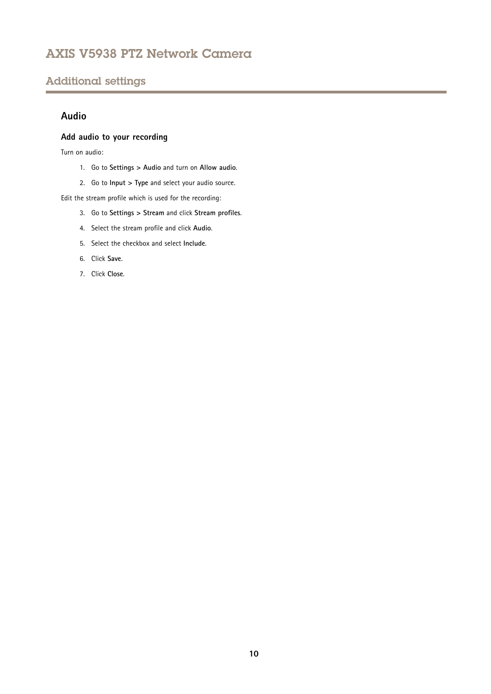# <span id="page-9-0"></span>Additional settings

## **Audio**

## **Add audio to your recording**

Turn on audio:

- 1. Go to **Settings <sup>&</sup>gt; Audio** and turn on **Allow audio**.
- 2. Go to **Input <sup>&</sup>gt; Type** and select your audio source.

Edit the stream profile which is used for the recording:

- 3. Go to **Settings <sup>&</sup>gt; Stream** and click **Stream profiles**.
- 4. Select the stream profile and click **Audio**.
- 5. Select the checkbox and select **Include**.
- 6. Click **Save**.
- 7. Click **Close**.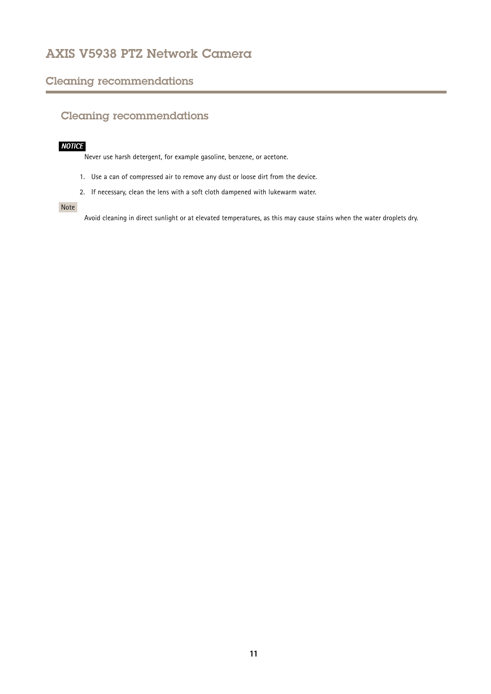# <span id="page-10-0"></span>Cleaning recommendations

# Cleaning recommendations

## *NOTICE*

Never use harsh detergent, for example gasoline, benzene, or acetone.

- 1. Use <sup>a</sup> can of compressed air to remove any dust or loose dirt from the device.
- 2. If necessary, clean the lens with <sup>a</sup> soft cloth dampened with lukewarm water.

## Note

Avoid cleaning in direct sunlight or at elevated temperatures, as this may cause stains when the water droplets dry.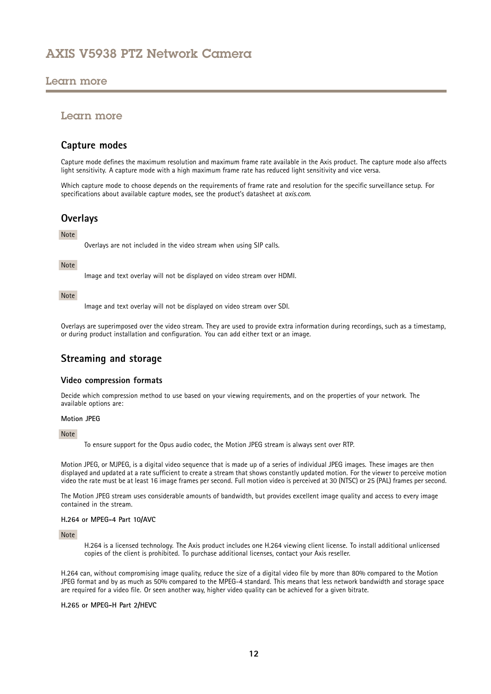## <span id="page-11-0"></span>Learn more

## Learn more

## **Capture modes**

Capture mode defines the maximum resolution and maximum frame rate available in the Axis product. The capture mode also affects light sensitivity. A capture mode with <sup>a</sup> high maximum frame rate has reduced light sensitivity and vice versa.

Which capture mode to choose depends on the requirements of frame rate and resolution for the specific surveillance setup. For specifications about available capture modes, see the product's datasheet at *[axis.com](https://www.axis.com)*.

## **Overlays**

### Note

Overlays are not included in the video stream when using SIP calls.

### Note

Image and text overlay will not be displayed on video stream over HDMI.

### Note

Image and text overlay will not be displayed on video stream over SDI.

Overlays are superimposed over the video stream. They are used to provide extra information during recordings, such as <sup>a</sup> timestamp, or during product installation and configuration. You can add either text or an image.

## **Streaming and storage**

### **Video compression formats**

Decide which compression method to use based on your viewing requirements, and on the properties of your network. The available options are:

#### **Motion JPEG**

#### Note

To ensure support for the Opus audio codec, the Motion JPEG stream is always sent over RTP.

Motion JPEG, or MJPEG, is <sup>a</sup> digital video sequence that is made up of <sup>a</sup> series of individual JPEG images. These images are then displayed and updated at <sup>a</sup> rate sufficient to create <sup>a</sup> stream that shows constantly updated motion. For the viewer to perceive motion video the rate must be at least <sup>16</sup> image frames per second. Full motion video is perceived at <sup>30</sup> (NTSC) or <sup>25</sup> (PAL) frames per second.

The Motion JPEG stream uses considerable amounts of bandwidth, but provides excellent image quality and access to every image contained in the stream.

### **H.264 or MPEG-4 Part 10/AVC**

#### Note

H.264 is <sup>a</sup> licensed technology. The Axis product includes one H.264 viewing client license. To install additional unlicensed copies of the client is prohibited. To purchase additional licenses, contact your Axis reseller.

H.264 can, without compromising image quality, reduce the size of <sup>a</sup> digital video file by more than 80% compared to the Motion JPEG format and by as much as 50% compared to the MPEG-4 standard. This means that less network bandwidth and storage space are required for <sup>a</sup> video file. Or seen another way, higher video quality can be achieved for <sup>a</sup> given bitrate.

#### **H.265 or MPEG-H Part 2/HEVC**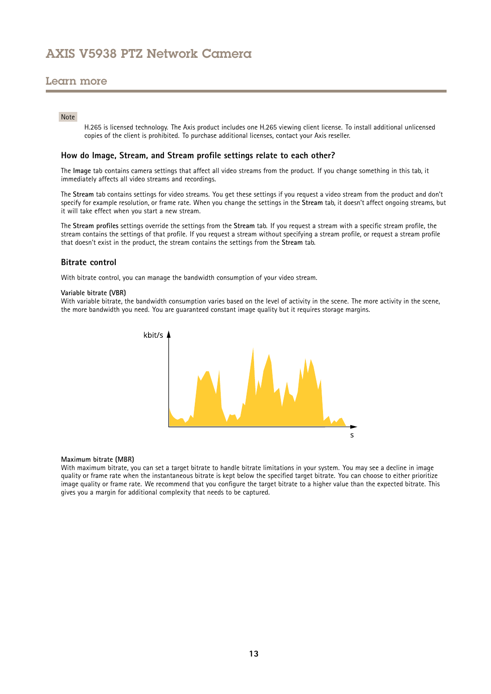## Learn more

### Note

H.265 is licensed technology. The Axis product includes one H.265 viewing client license. To install additional unlicensed copies of the client is prohibited. To purchase additional licenses, contact your Axis reseller.

### **How do Image, Stream, and Stream profile settings relate to each other?**

The **Image** tab contains camera settings that affect all video streams from the product. If you change something in this tab, it immediately affects all video streams and recordings.

The **Stream** tab contains settings for video streams. You get these settings if you request <sup>a</sup> video stream from the product and don't specify for example resolution, or frame rate. When you change the settings in the **Stream** tab, it doesn't affect ongoing streams, but it will take effect when you start <sup>a</sup> new stream.

The **Stream profiles** settings override the settings from the **Stream** tab. If you request <sup>a</sup> stream with <sup>a</sup> specific stream profile, the stream contains the settings of that profile. If you request <sup>a</sup> stream without specifying <sup>a</sup> stream profile, or request <sup>a</sup> stream profile that doesn't exist in the product, the stream contains the settings from the **Stream** tab.

#### **Bitrate control**

With bitrate control, you can manage the bandwidth consumption of your video stream.

#### **Variable bitrate (VBR)**

With variable bitrate, the bandwidth consumption varies based on the level of activity in the scene. The more activity in the scene, the more bandwidth you need. You are guaranteed constant image quality but it requires storage margins.



#### **Maximum bitrate (MBR)**

With maximum bitrate, you can set <sup>a</sup> target bitrate to handle bitrate limitations in your system. You may see <sup>a</sup> decline in image quality or frame rate when the instantaneous bitrate is kept below the specified target bitrate. You can choose to either prioritize image quality or frame rate. We recommend that you configure the target bitrate to <sup>a</sup> higher value than the expected bitrate. This gives you <sup>a</sup> margin for additional complexity that needs to be captured.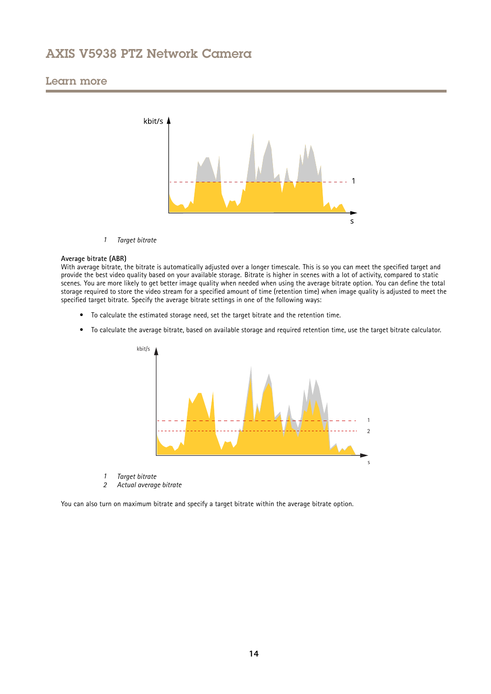## Learn more



*1 Target bitrate*

#### **Average bitrate (ABR)**

With average bitrate, the bitrate is automatically adjusted over a longer timescale. This is so you can meet the specified target and provide the best video quality based on your available storage. Bitrate is higher in scenes with <sup>a</sup> lot of activity, compared to static scenes. You are more likely to get better image quality when needed when using the average bitrate option. You can define the total storage required to store the video stream for <sup>a</sup> specified amount of time (retention time) when image quality is adjusted to meet the specified target bitrate. Specify the average bitrate settings in one of the following ways:

- To calculate the estimated storage need, set the target bitrate and the retention time.
- To calculate the average bitrate, based on available storage and required retention time, use the target bitrate calculator.



- *1 Target bitrate*
- *2 Actual average bitrate*

You can also turn on maximum bitrate and specify <sup>a</sup> target bitrate within the average bitrate option.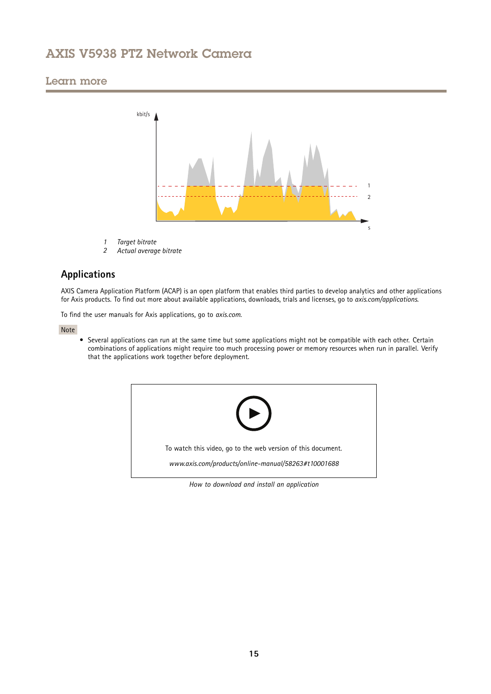## <span id="page-14-0"></span>Learn more



- *1 Target bitrate*
- *2 Actual average bitrate*

# **Applications**

AXIS Camera Application Platform (ACAP) is an open platform that enables third parties to develop analytics and other applications for Axis products. To find out more about available applications, downloads, trials and licenses, go to *[axis.com/applications](https://www.axis.com/applications)*.

To find the user manuals for Axis applications, go to *[axis.com](https://www.axis.com)*.

Note

• Several applications can run at the same time but some applications might not be compatible with each other. Certain combinations of applications might require too much processing power or memory resources when run in parallel. Verify that the applications work together before deployment.



*How to download and install an application*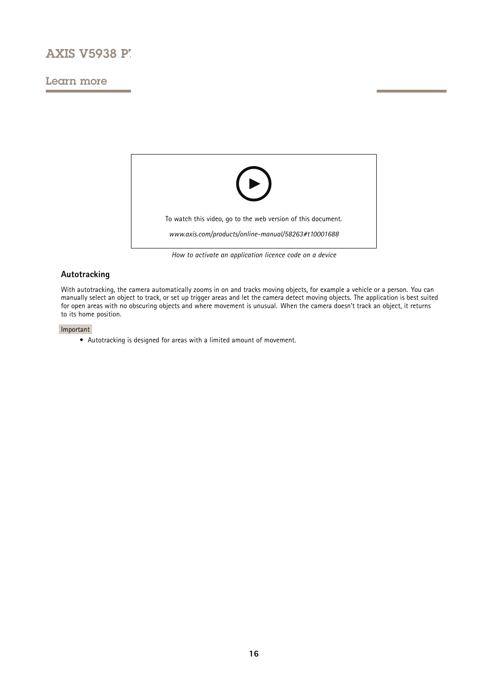# **AXIS V5938 PT**

## Learn more



*How to activate an application licence code on <sup>a</sup> device*

## **Autotracking**

With autotracking, the camera automatically zooms in on and tracks moving objects, for example <sup>a</sup> vehicle or <sup>a</sup> person. You can manually select an object to track, or set up trigger areas and let the camera detect moving objects. The application is best suited for open areas with no obscuring objects and where movement is unusual. When the camera doesn't track an object, it returns to its home position.

#### Important

• Autotracking is designed for areas with <sup>a</sup> limited amount of movement.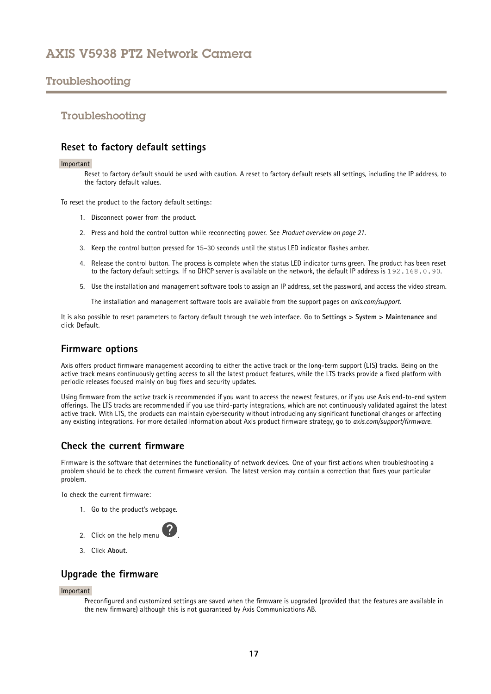# <span id="page-16-0"></span>Troubleshooting

## Troubleshooting

## **Reset to factory default settings**

#### Important

Reset to factory default should be used with caution. A reset to factory default resets all settings, including the IP address, to the factory default values.

To reset the product to the factory default settings:

- 1. Disconnect power from the product.
- 2. Press and hold the control button while reconnecting power. See *Product [overview](#page-20-0) on page [21](#page-20-0)*.
- 3. Keep the control button pressed for 15–30 seconds until the status LED indicator flashes amber.
- 4. Release the control button. The process is complete when the status LED indicator turns green. The product has been reset to the factory default settings. If no DHCP server is available on the network, the default IP address is 192.168.0.90.
- 5. Use the installation and management software tools to assign an IP address, set the password, and access the video stream.

The installation and management software tools are available from the support pages on *[axis.com/support](https://www.axis.com/support)*.

It is also possible to reset parameters to factory default through the web interface. Go to **Settings <sup>&</sup>gt; System <sup>&</sup>gt; Maintenance** and click **Default**.

## **Firmware options**

Axis offers product firmware management according to either the active track or the long-term support (LTS) tracks. Being on the active track means continuously getting access to all the latest product features, while the LTS tracks provide <sup>a</sup> fixed platform with periodic releases focused mainly on bug fixes and security updates.

Using firmware from the active track is recommended if you want to access the newest features, or if you use Axis end-to-end system offerings. The LTS tracks are recommended if you use third-party integrations, which are not continuously validated against the latest active track. With LTS, the products can maintain cybersecurity without introducing any significant functional changes or affecting any existing integrations. For more detailed information about Axis product firmware strategy, go to *[axis.com/support/firmware](https://www.axis.com/support/firmware)*.

## **Check the current firmware**

Firmware is the software that determines the functionality of network devices. One of your first actions when troubleshooting <sup>a</sup> problem should be to check the current firmware version. The latest version may contain <sup>a</sup> correction that fixes your particular problem.

To check the current firmware:

1. Go to the product's webpage.



3. Click **About**.

## **Upgrade the firmware**

#### Important

Preconfigured and customized settings are saved when the firmware is upgraded (provided that the features are available in the new firmware) although this is not guaranteed by Axis Communications AB.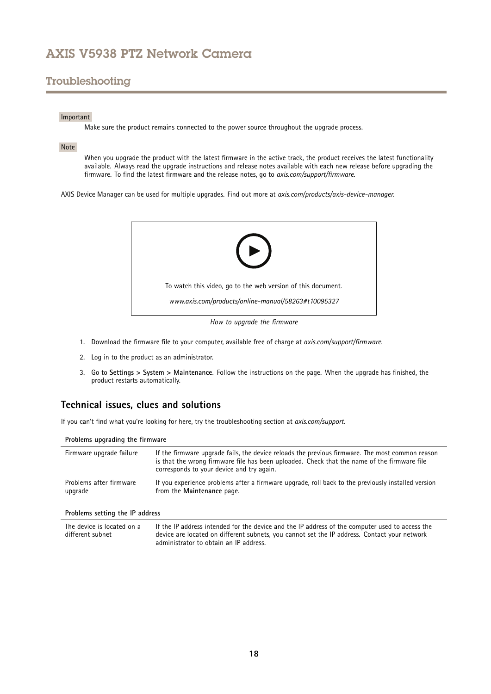# <span id="page-17-0"></span>Troubleshooting

### Important

Make sure the product remains connected to the power source throughout the upgrade process.

### Note

When you upgrade the product with the latest firmware in the active track, the product receives the latest functionality available. Always read the upgrade instructions and release notes available with each new release before upgrading the firmware. To find the latest firmware and the release notes, go to *[axis.com/support/firmware](https://www.axis.com/support/firmware)*.

AXIS Device Manager can be used for multiple upgrades. Find out more at *[axis.com/products/axis-device-manager](https://www.axis.com/products/axis-device-manager)*.



1. Download the firmware file to your computer, available free of charge at *[axis.com/support/firmware](https://www.axis.com/support/firmware)*.

- 2. Log in to the product as an administrator.
- 3. Go to **Settings <sup>&</sup>gt; System <sup>&</sup>gt; Maintenance**. Follow the instructions on the page. When the upgrade has finished, the product restarts automatically.

## **Technical issues, clues and solutions**

If you can't find what you're looking for here, try the troubleshooting section at *[axis.com/support](https://www.axis.com/support)*.

#### **Problems upgrading the firmware**

| Firmware upgrade failure           | If the firmware upgrade fails, the device reloads the previous firmware. The most common reason<br>is that the wrong firmware file has been uploaded. Check that the name of the firmware file<br>corresponds to your device and try again. |
|------------------------------------|---------------------------------------------------------------------------------------------------------------------------------------------------------------------------------------------------------------------------------------------|
| Problems after firmware<br>upgrade | If you experience problems after a firmware upgrade, roll back to the previously installed version<br>from the Maintenance page.                                                                                                            |
| Problems setting the IP address    |                                                                                                                                                                                                                                             |

#### The device is located on a different subnet If the IP address intended for the device and the IP address of the computer used to access the device are located on different subnets, you cannot set the IP address. Contact your network administrator to obtain an IP address.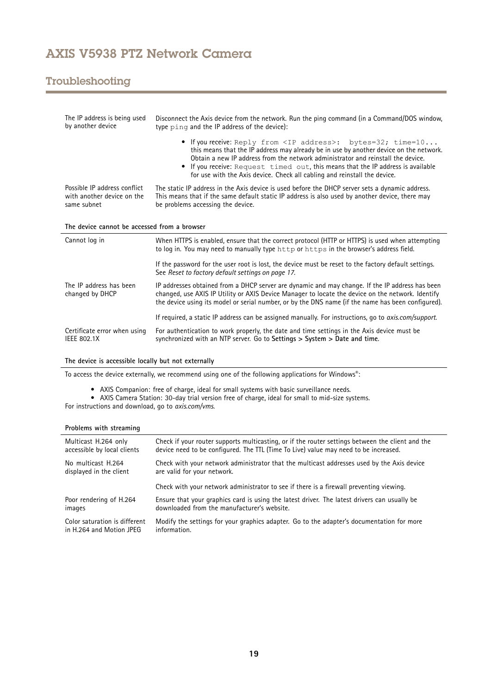# Troubleshooting

| The IP address is being used<br>by another device                         | Disconnect the Axis device from the network. Run the ping command (in a Command/DOS window,<br>type ping and the IP address of the device):                                                                                                                                                                                                                                                                           |  |  |
|---------------------------------------------------------------------------|-----------------------------------------------------------------------------------------------------------------------------------------------------------------------------------------------------------------------------------------------------------------------------------------------------------------------------------------------------------------------------------------------------------------------|--|--|
|                                                                           | • If you receive: Reply from <ip address="">: bytes=32; time=10<br/>this means that the IP address may already be in use by another device on the network.<br/>Obtain a new IP address from the network administrator and reinstall the device.<br/>If you receive: Request timed out, this means that the IP address is available<br/>for use with the Axis device. Check all cabling and reinstall the device.</ip> |  |  |
| Possible IP address conflict<br>with another device on the<br>same subnet | The static IP address in the Axis device is used before the DHCP server sets a dynamic address.<br>This means that if the same default static IP address is also used by another device, there may<br>be problems accessing the device.                                                                                                                                                                               |  |  |
| The device cannot be accessed from a browser                              |                                                                                                                                                                                                                                                                                                                                                                                                                       |  |  |
|                                                                           |                                                                                                                                                                                                                                                                                                                                                                                                                       |  |  |
| Cannot log in                                                             | When HTTPS is enabled, ensure that the correct protocol (HTTP or HTTPS) is used when attempting<br>to log in. You may need to manually type http or https in the browser's address field.                                                                                                                                                                                                                             |  |  |
|                                                                           | If the password for the user root is lost, the device must be reset to the factory default settings.<br>See Reset to factory default settings on page 17.                                                                                                                                                                                                                                                             |  |  |
| The IP address has been<br>changed by DHCP                                | IP addresses obtained from a DHCP server are dynamic and may change. If the IP address has been<br>changed, use AXIS IP Utility or AXIS Device Manager to locate the device on the network. Identify<br>the device using its model or serial number, or by the DNS name (if the name has been configured).                                                                                                            |  |  |
|                                                                           | If required, a static IP address can be assigned manually. For instructions, go to axis.com/support.                                                                                                                                                                                                                                                                                                                  |  |  |

### **The device is accessible locally but not externally**

To access the device externally, we recommend using one of the following applications for Windows® :

- AXIS Companion: free of charge, ideal for small systems with basic surveillance needs. AXIS Camera Station: 30-day trial version free of charge, ideal for small to mid-size systems.
- For instructions and download, go to *[axis.com/vms](https://www.axis.com/vms)*.

### **Problems with streaming**

| Multicast H.264 only          | Check if your router supports multicasting, or if the router settings between the client and the |  |
|-------------------------------|--------------------------------------------------------------------------------------------------|--|
| accessible by local clients   | device need to be configured. The TTL (Time To Live) value may need to be increased.             |  |
| No multicast H.264            | Check with your network administrator that the multicast addresses used by the Axis device       |  |
| displayed in the client       | are valid for your network.                                                                      |  |
|                               | Check with your network administrator to see if there is a firewall preventing viewing.          |  |
| Poor rendering of H.264       | Ensure that your graphics card is using the latest driver. The latest drivers can usually be     |  |
| images                        | downloaded from the manufacturer's website.                                                      |  |
| Color saturation is different | Modify the settings for your graphics adapter. Go to the adapter's documentation for more        |  |
| in H.264 and Motion JPEG      | information.                                                                                     |  |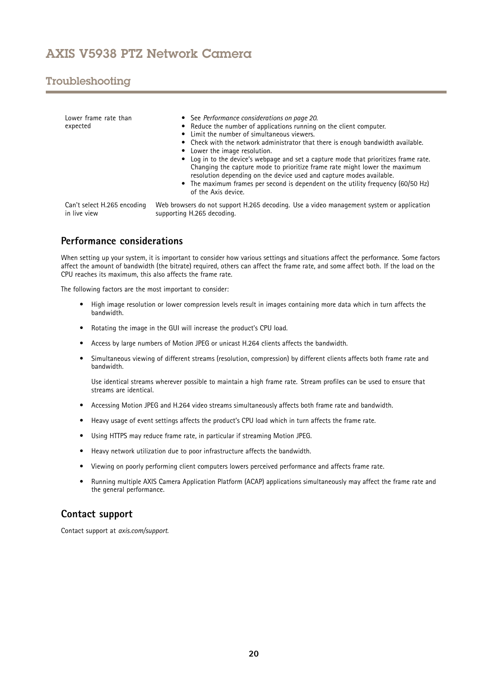# <span id="page-19-0"></span>Troubleshooting

| Lower frame rate than<br>expected | • See Performance considerations on page 20.<br>• Reduce the number of applications running on the client computer.<br>• Limit the number of simultaneous viewers.<br>• Check with the network administrator that there is enough bandwidth available.<br>• Lower the image resolution.<br>• Log in to the device's webpage and set a capture mode that prioritizes frame rate.<br>Changing the capture mode to prioritize frame rate might lower the maximum<br>resolution depending on the device used and capture modes available.<br>• The maximum frames per second is dependent on the utility frequency (60/50 Hz)<br>of the Axis device. |
|-----------------------------------|--------------------------------------------------------------------------------------------------------------------------------------------------------------------------------------------------------------------------------------------------------------------------------------------------------------------------------------------------------------------------------------------------------------------------------------------------------------------------------------------------------------------------------------------------------------------------------------------------------------------------------------------------|
| Can't select H.265 encoding       | Web browsers do not support H.265 decoding. Use a video management system or application                                                                                                                                                                                                                                                                                                                                                                                                                                                                                                                                                         |
| in live view                      | supporting H.265 decoding.                                                                                                                                                                                                                                                                                                                                                                                                                                                                                                                                                                                                                       |

# **Performance considerations**

When setting up your system, it is important to consider how various settings and situations affect the performance. Some factors affect the amount of bandwidth (the bitrate) required, others can affect the frame rate, and some affect both. If the load on the CPU reaches its maximum, this also affects the frame rate.

The following factors are the most important to consider:

- • High image resolution or lower compression levels result in images containing more data which in turn affects the bandwidth.
- Rotating the image in the GUI will increase the product's CPU load.
- •Access by large numbers of Motion JPEG or unicast H.264 clients affects the bandwidth.
- • Simultaneous viewing of different streams (resolution, compression) by different clients affects both frame rate and bandwidth.

Use identical streams wherever possible to maintain <sup>a</sup> high frame rate. Stream profiles can be used to ensure that streams are identical.

- Accessing Motion JPEG and H.264 video streams simultaneously affects both frame rate and bandwidth.
- Heavy usage of event settings affects the product's CPU load which in turn affects the frame rate.
- Using HTTPS may reduce frame rate, in particular if streaming Motion JPEG.
- Heavy network utilization due to poor infrastructure affects the bandwidth.
- •Viewing on poorly performing client computers lowers perceived performance and affects frame rate.
- • Running multiple AXIS Camera Application Platform (ACAP) applications simultaneously may affect the frame rate and the general performance.

## **Contact support**

Contact support at *[axis.com/support](https://www.axis.com/support)*.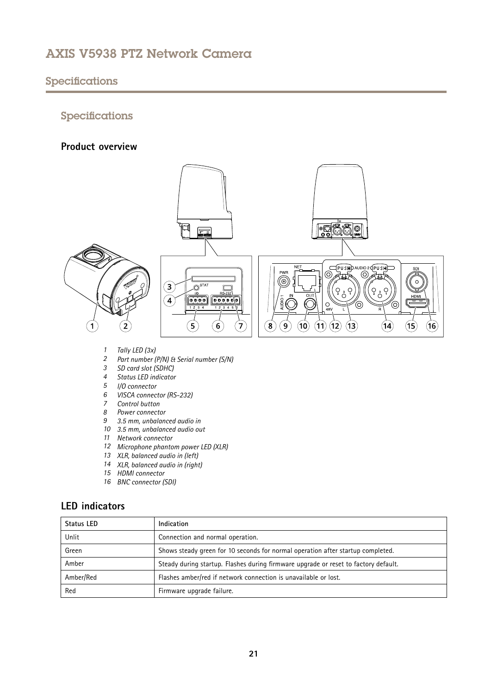# <span id="page-20-0"></span>Specifications

# Specifications

## **Product overview**



- *<sup>1</sup> Tally LED (3x)*
- *<sup>2</sup> Part number (P/N) & Serial number (S/N)*
- *3 SD card slot (SDHC)*
- *4 Status LED indicator*
- *5 I/O connector*
- *6 VISCA connector (RS-232)*
- *7 Control button*
- *8 Power connector*
- *9 3.5 mm, unbalanced audio in*
- *10 3.5 mm, unbalanced audio out*
- *11 Network connector*
- *<sup>12</sup> Microphone phantom power LED (XLR)*
- *13 XLR, balanced audio in (left)*
- *<sup>14</sup> XLR, balanced audio in (right)*
- *15 HDMI connector*
- *16 BNC connector (SDI)*

# **LED indicators**

| <b>Status LED</b> | Indication                                                                          |
|-------------------|-------------------------------------------------------------------------------------|
| Unlit             | Connection and normal operation.                                                    |
| Green             | Shows steady green for 10 seconds for normal operation after startup completed.     |
| Amber             | Steady during startup. Flashes during firmware upgrade or reset to factory default. |
| Amber/Red         | Flashes amber/red if network connection is unavailable or lost.                     |
| Red               | Firmware upgrade failure.                                                           |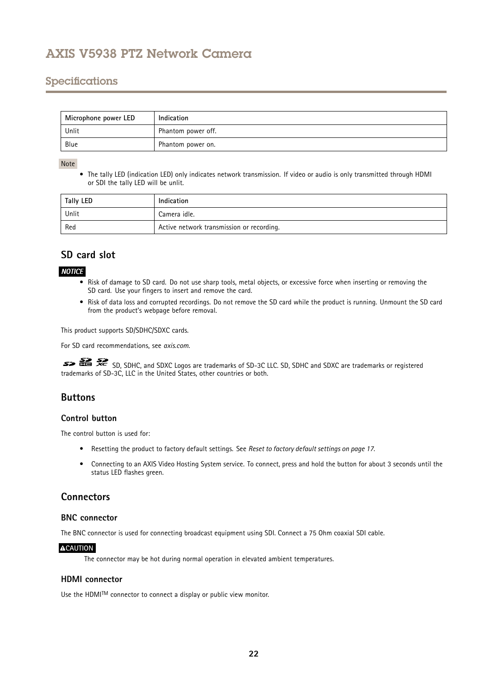# <span id="page-21-0"></span>Specifications

| Microphone power LED | Indication         |
|----------------------|--------------------|
| Unlit                | Phantom power off. |
| Blue                 | Phantom power on.  |

### Note

• The tally LED (indication LED) only indicates network transmission. If video or audio is only transmitted through HDMI or SDI the tally LED will be unlit.

| Tally LED | Indication                                |
|-----------|-------------------------------------------|
| Unlit     | Camera idle.                              |
| Red       | Active network transmission or recording. |

# **SD card slot**

## *NOTICE*

- Risk of damage to SD card. Do not use sharp tools, metal objects, or excessive force when inserting or removing the SD card. Use your fingers to insert and remove the card.
- Risk of data loss and corrupted recordings. Do not remove the SD card while the product is running. Unmount the SD card from the product's webpage before removal.

This product supports SD/SDHC/SDXC cards.

For SD card recommendations, see *[axis.com](https://www.axis.com)*.

SD, SDHC, and SDXC Logos are trademarks of SD-3C LLC. SD, SDHC and SDXC are trademarks or registered trademarks of SD-3C, LLC in the United States, other countries or both.

## **Buttons**

## **Control button**

The control button is used for:

- Resetting the product to factory default settings. See *Reset to factory default [settings](#page-16-0) on page [17](#page-16-0)*.
- Connecting to an AXIS Video Hosting System service. To connect, press and hold the button for about 3 seconds until the status LED flashes green.

## **Connectors**

## **BNC connector**

The BNC connector is used for connecting broadcast equipment using SDI. Connect <sup>a</sup> 75 Ohm coaxial SDI cable.

## **ACAUTION**

The connector may be hot during normal operation in elevated ambient temperatures.

## **HDMI connector**

Use the <code>HDMITM</code> connector to connect a display or public view monitor.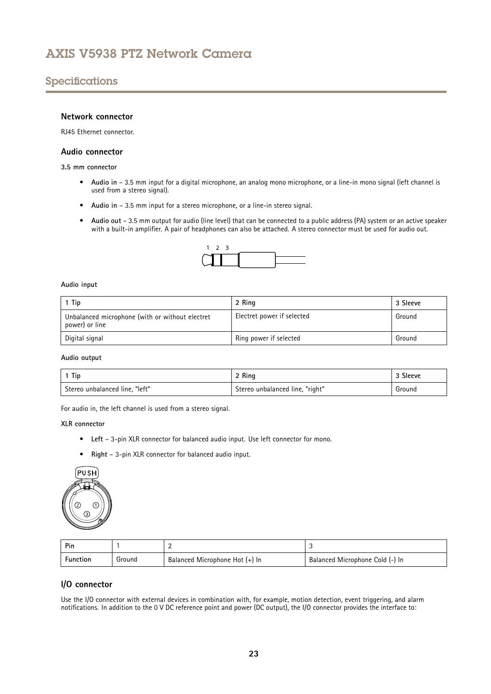# Specifications

## **Network connector**

RJ45 Ethernet connector.

### **Audio connector**

**3.5 mm connector**

- **Audio in** 3.5 mm input for <sup>a</sup> digital microphone, an analog mono microphone, or <sup>a</sup> line-in mono signal (left channel is used from <sup>a</sup> stereo signal).
- **Audio in** 3.5 mm input for <sup>a</sup> stereo microphone, or <sup>a</sup> line-in stereo signal.
- **Audio out** 3.5 mm output for audio (line level) that can be connected to <sup>a</sup> public address (PA) system or an active speaker with <sup>a</sup> built-in amplifier. A pair of headphones can also be attached. A stereo connector must be used for audio out.



### **Audio input**

| 1 Tip                                                             | 2 Ring                     | 3 Sleeve |
|-------------------------------------------------------------------|----------------------------|----------|
| Unbalanced microphone (with or without electret<br>power) or line | Electret power if selected | Ground   |
| Digital signal                                                    | Ring power if selected     | Ground   |

**Audio output**

| 1 Tip                          | 2 Ring                          | <sup>3</sup> Sleeve |
|--------------------------------|---------------------------------|---------------------|
| Stereo unbalanced line, "left" | Stereo unbalanced line, "right" | Ground              |

For audio in, the left channel is used from <sup>a</sup> stereo signal.

#### **XLR connector**

- **Left** 3-pin XLR connector for balanced audio input. Use left connector for mono.
- **Right** 3-pin XLR connector for balanced audio input.



| <b>Pin</b>      |        |                                |                                 |
|-----------------|--------|--------------------------------|---------------------------------|
| <b>Function</b> | Ground | Balanced Microphone Hot (+) In | Balanced Microphone Cold (-) In |

## **I/O connector**

Use the I/O connector with external devices in combination with, for example, motion detection, event triggering, and alarm notifications. In addition to the <sup>0</sup> V DC reference point and power (DC output), the I/O connector provides the interface to: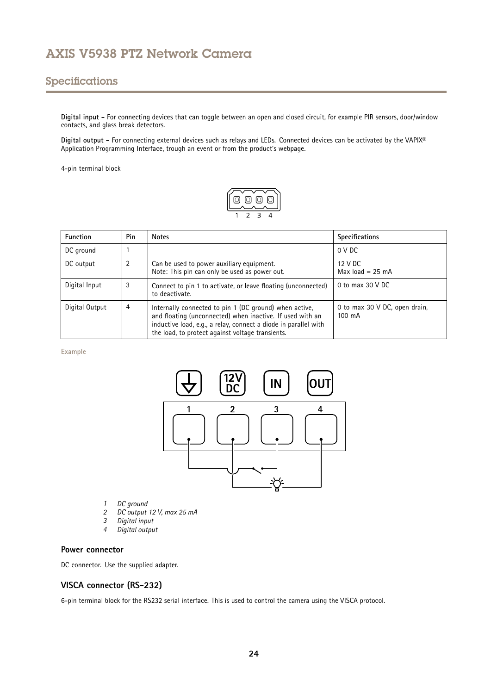# Specifications

**Digital input -** For connecting devices that can toggle between an open and closed circuit, for example PIR sensors, door/window contacts, and glass break detectors.

**Digital output -** For connecting external devices such as relays and LEDs. Connected devices can be activated by the VAPIX® Application Programming Interface, trough an event or from the product's webpage.

4-pin terminal block



| <b>Function</b> | Pin | <b>Notes</b>                                                                                                                                                                                                                                                                                    | Specifications |
|-----------------|-----|-------------------------------------------------------------------------------------------------------------------------------------------------------------------------------------------------------------------------------------------------------------------------------------------------|----------------|
| DC ground       |     |                                                                                                                                                                                                                                                                                                 | 0 V DC         |
| DC output       | 2   | 12 V DC<br>Can be used to power auxiliary equipment.<br>Note: This pin can only be used as power out.<br>Max $load = 25$ mA                                                                                                                                                                     |                |
| Digital Input   | 3   | 0 to max 30 V DC<br>Connect to pin 1 to activate, or leave floating (unconnected)<br>to deactivate.                                                                                                                                                                                             |                |
| Digital Output  | 4   | Internally connected to pin 1 (DC ground) when active,<br>0 to max 30 V DC, open drain,<br>and floating (unconnected) when inactive. If used with an<br>$100 \text{ mA}$<br>inductive load, e.g., a relay, connect a diode in parallel with<br>the load, to protect against voltage transients. |                |

#### **Example**



- 
- *1 DC ground 2 DC output 12 V, max 25 mA*
- *3 Digital input*
- *<sup>4</sup> Digital output*

## **Power connector**

DC connector. Use the supplied adapter.

## **VISCA connector (RS-232)**

6-pin terminal block for the RS232 serial interface. This is used to control the camera using the VISCA protocol.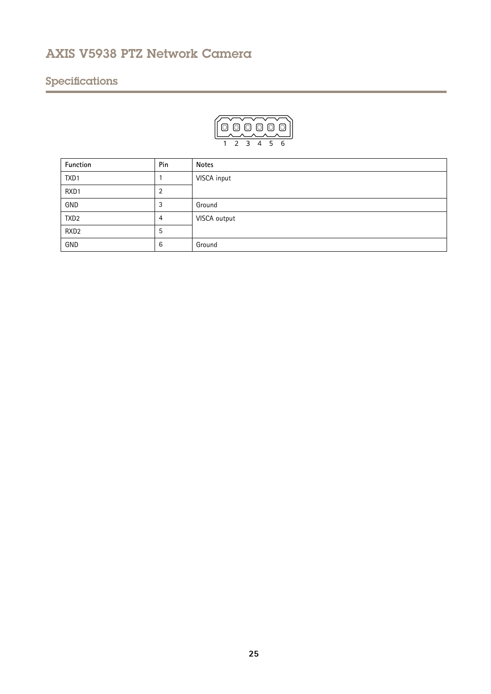# Specifications



| Function         | Pin | <b>Notes</b> |
|------------------|-----|--------------|
| TXD1             |     | VISCA input  |
| RXD1             | 2   |              |
| GND              | 3   | Ground       |
| TXD <sub>2</sub> | 4   | VISCA output |
| RXD <sub>2</sub> | 5   |              |
| GND              | 6   | Ground       |